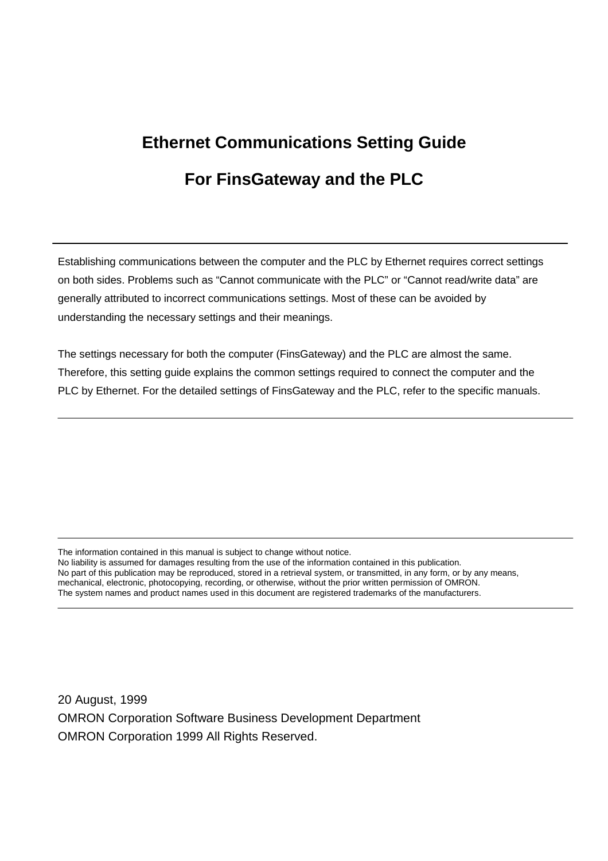# **Ethernet Communications Setting Guide For FinsGateway and the PLC**

Establishing communications between the computer and the PLC by Ethernet requires correct settings on both sides. Problems such as "Cannot communicate with the PLC" or "Cannot read/write data" are generally attributed to incorrect communications settings. Most of these can be avoided by understanding the necessary settings and their meanings.

The settings necessary for both the computer (FinsGateway) and the PLC are almost the same. Therefore, this setting guide explains the common settings required to connect the computer and the PLC by Ethernet. For the detailed settings of FinsGateway and the PLC, refer to the specific manuals.

The information contained in this manual is subject to change without notice.

No liability is assumed for damages resulting from the use of the information contained in this publication. No part of this publication may be reproduced, stored in a retrieval system, or transmitted, in any form, or by any means, mechanical, electronic, photocopying, recording, or otherwise, without the prior written permission of OMRON. The system names and product names used in this document are registered trademarks of the manufacturers.

20 August, 1999 OMRON Corporation Software Business Development Department OMRON Corporation 1999 All Rights Reserved.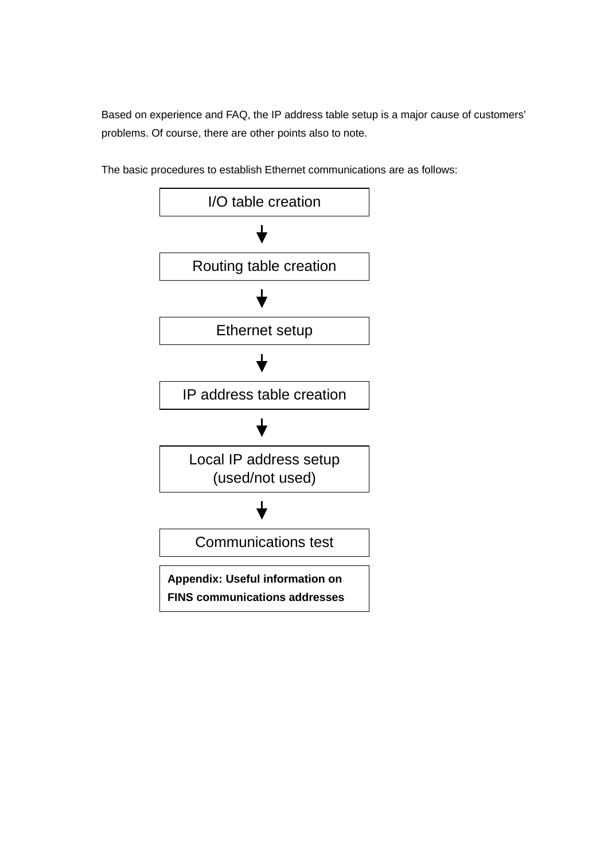Based on experience and FAQ, the IP address table setup is a major cause of customers' problems. Of course, there are other points also to note.



The basic procedures to establish Ethernet communications are as follows: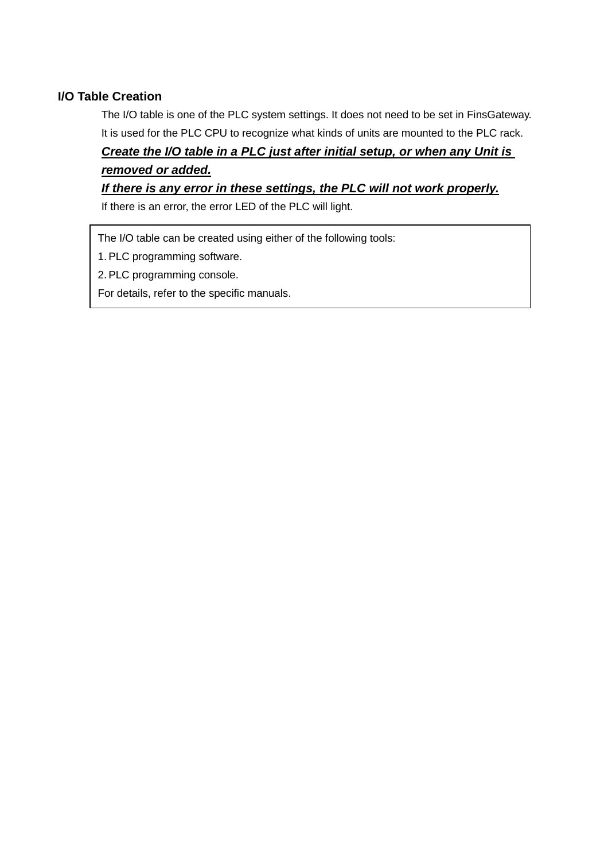### **I/O Table Creation**

The I/O table is one of the PLC system settings. It does not need to be set in FinsGateway. It is used for the PLC CPU to recognize what kinds of units are mounted to the PLC rack.

# *Create the I/O table in a PLC just after initial setup, or when any Unit is removed or added.*

### *If there is any error in these settings, the PLC will not work properly.*

If there is an error, the error LED of the PLC will light.

The I/O table can be created using either of the following tools:

1. PLC programming software.

2. PLC programming console.

For details, refer to the specific manuals.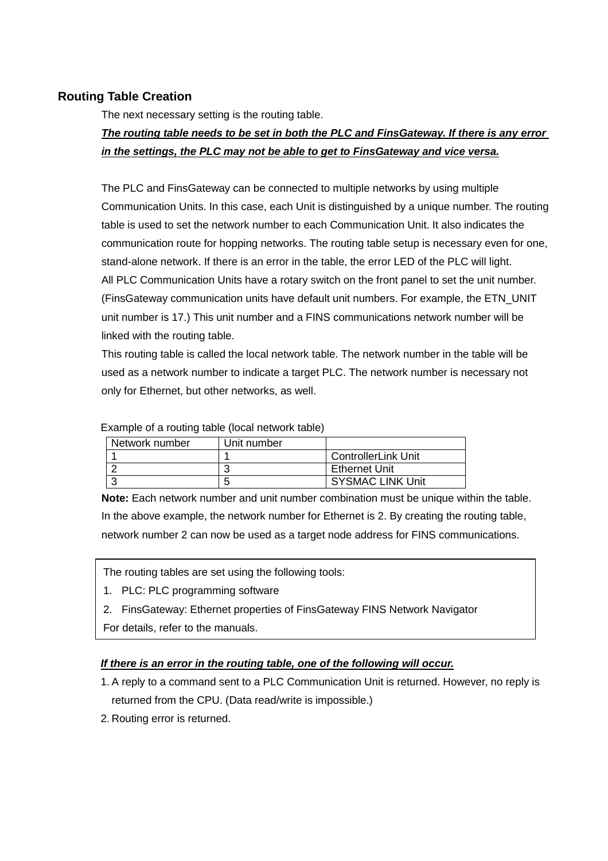### **Routing Table Creation**

The next necessary setting is the routing table.

## *The routing table needs to be set in both the PLC and FinsGateway. If there is any error in the settings, the PLC may not be able to get to FinsGateway and vice versa.*

The PLC and FinsGateway can be connected to multiple networks by using multiple Communication Units. In this case, each Unit is distinguished by a unique number. The routing table is used to set the network number to each Communication Unit. It also indicates the communication route for hopping networks. The routing table setup is necessary even for one, stand-alone network. If there is an error in the table, the error LED of the PLC will light. All PLC Communication Units have a rotary switch on the front panel to set the unit number. (FinsGateway communication units have default unit numbers. For example, the ETN\_UNIT unit number is 17.) This unit number and a FINS communications network number will be linked with the routing table.

This routing table is called the local network table. The network number in the table will be used as a network number to indicate a target PLC. The network number is necessary not only for Ethernet, but other networks, as well.

Example of a routing table (local network table)

| Network number | Unit number |                            |
|----------------|-------------|----------------------------|
|                |             | <b>ControllerLink Unit</b> |
|                |             | <b>Ethernet Unit</b>       |
|                |             | <b>SYSMAC LINK Unit</b>    |

**Note:** Each network number and unit number combination must be unique within the table. In the above example, the network number for Ethernet is 2. By creating the routing table, network number 2 can now be used as a target node address for FINS communications.

The routing tables are set using the following tools:

- 1. PLC: PLC programming software
- 2. FinsGateway: Ethernet properties of FinsGateway FINS Network Navigator

For details, refer to the manuals.

#### *If there is an error in the routing table, one of the following will occur.*

- 1. A reply to a command sent to a PLC Communication Unit is returned. However, no reply is returned from the CPU. (Data read/write is impossible.)
- 2. Routing error is returned.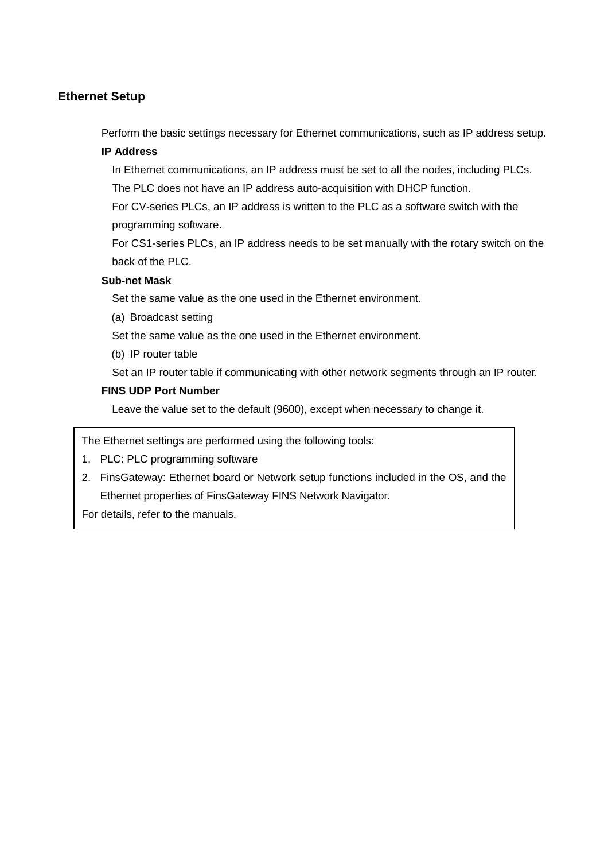### **Ethernet Setup**

Perform the basic settings necessary for Ethernet communications, such as IP address setup.

#### **IP Address**

In Ethernet communications, an IP address must be set to all the nodes, including PLCs.

The PLC does not have an IP address auto-acquisition with DHCP function.

For CV-series PLCs, an IP address is written to the PLC as a software switch with the programming software.

For CS1-series PLCs, an IP address needs to be set manually with the rotary switch on the back of the PLC.

#### **Sub-net Mask**

Set the same value as the one used in the Ethernet environment.

(a) Broadcast setting

Set the same value as the one used in the Ethernet environment.

(b) IP router table

Set an IP router table if communicating with other network segments through an IP router.

#### **FINS UDP Port Number**

Leave the value set to the default (9600), except when necessary to change it.

The Ethernet settings are performed using the following tools:

- 1. PLC: PLC programming software
- 2. FinsGateway: Ethernet board or Network setup functions included in the OS, and the Ethernet properties of FinsGateway FINS Network Navigator.

For details, refer to the manuals.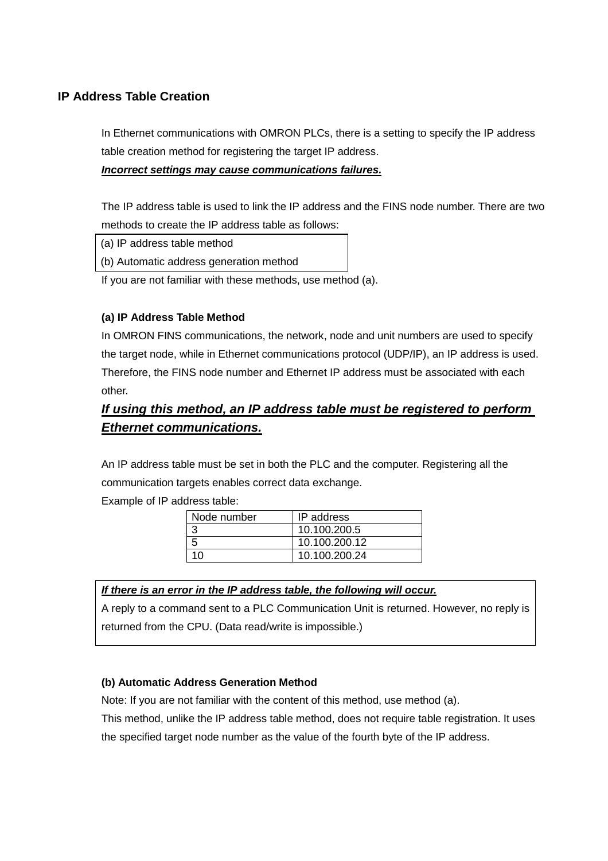### **IP Address Table Creation**

In Ethernet communications with OMRON PLCs, there is a setting to specify the IP address table creation method for registering the target IP address.

#### *Incorrect settings may cause communications failures.*

The IP address table is used to link the IP address and the FINS node number. There are two methods to create the IP address table as follows:

(a) IP address table method

(b) Automatic address generation method

If you are not familiar with these methods, use method (a).

#### **(a) IP Address Table Method**

In OMRON FINS communications, the network, node and unit numbers are used to specify the target node, while in Ethernet communications protocol (UDP/IP), an IP address is used. Therefore, the FINS node number and Ethernet IP address must be associated with each other.

# *If using this method, an IP address table must be registered to perform Ethernet communications.*

An IP address table must be set in both the PLC and the computer. Registering all the communication targets enables correct data exchange.

Example of IP address table:

| Node number | IP address    |
|-------------|---------------|
|             | 10.100.200.5  |
|             | 10.100.200.12 |
| 1 በ         | 10.100.200.24 |

#### *If there is an error in the IP address table, the following will occur.*

A reply to a command sent to a PLC Communication Unit is returned. However, no reply is returned from the CPU. (Data read/write is impossible.)

#### **(b) Automatic Address Generation Method**

Note: If you are not familiar with the content of this method, use method (a).

This method, unlike the IP address table method, does not require table registration. It uses the specified target node number as the value of the fourth byte of the IP address.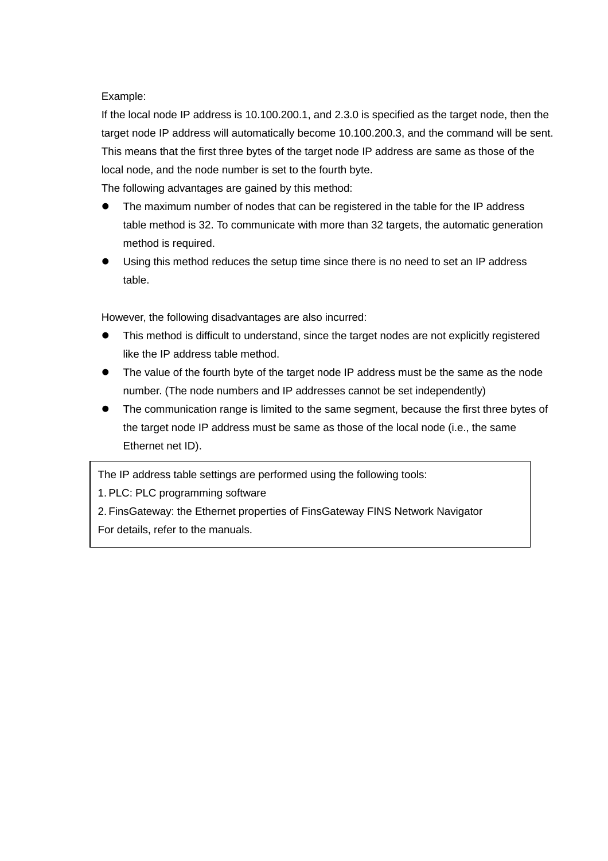#### Example:

If the local node IP address is 10.100.200.1, and 2.3.0 is specified as the target node, then the target node IP address will automatically become 10.100.200.3, and the command will be sent. This means that the first three bytes of the target node IP address are same as those of the local node, and the node number is set to the fourth byte.

The following advantages are gained by this method:

- ! The maximum number of nodes that can be registered in the table for the IP address table method is 32. To communicate with more than 32 targets, the automatic generation method is required.
- Using this method reduces the setup time since there is no need to set an IP address table.

However, the following disadvantages are also incurred:

- ! This method is difficult to understand, since the target nodes are not explicitly registered like the IP address table method.
- ! The value of the fourth byte of the target node IP address must be the same as the node number. (The node numbers and IP addresses cannot be set independently)
- ! The communication range is limited to the same segment, because the first three bytes of the target node IP address must be same as those of the local node (i.e., the same Ethernet net ID).

The IP address table settings are performed using the following tools:

1. PLC: PLC programming software

2. FinsGateway: the Ethernet properties of FinsGateway FINS Network Navigator For details, refer to the manuals.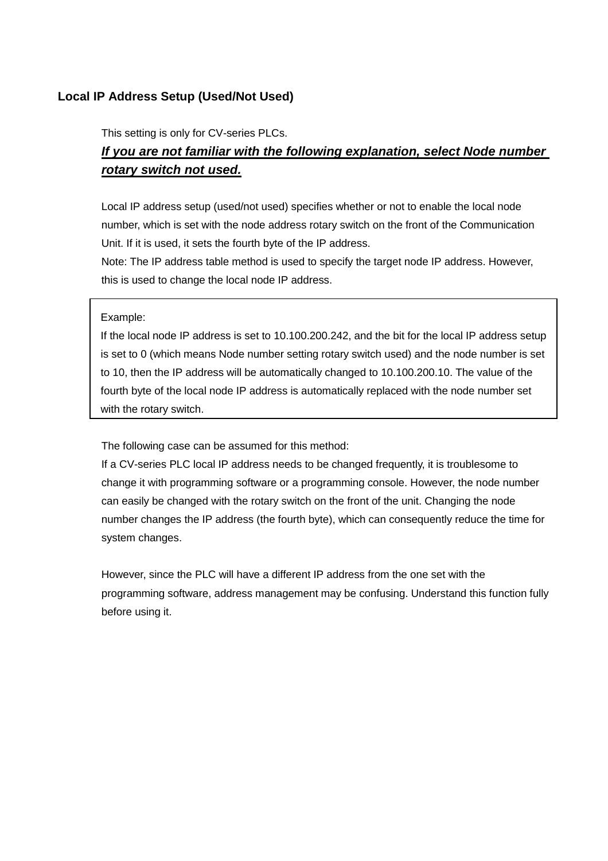### **Local IP Address Setup (Used/Not Used)**

This setting is only for CV-series PLCs.

# *If you are not familiar with the following explanation, select Node number rotary switch not used.*

Local IP address setup (used/not used) specifies whether or not to enable the local node number, which is set with the node address rotary switch on the front of the Communication Unit. If it is used, it sets the fourth byte of the IP address.

Note: The IP address table method is used to specify the target node IP address. However, this is used to change the local node IP address.

#### Example:

If the local node IP address is set to 10.100.200.242, and the bit for the local IP address setup is set to 0 (which means Node number setting rotary switch used) and the node number is set to 10, then the IP address will be automatically changed to 10.100.200.10. The value of the fourth byte of the local node IP address is automatically replaced with the node number set with the rotary switch.

The following case can be assumed for this method:

If a CV-series PLC local IP address needs to be changed frequently, it is troublesome to change it with programming software or a programming console. However, the node number can easily be changed with the rotary switch on the front of the unit. Changing the node number changes the IP address (the fourth byte), which can consequently reduce the time for system changes.

However, since the PLC will have a different IP address from the one set with the programming software, address management may be confusing. Understand this function fully before using it.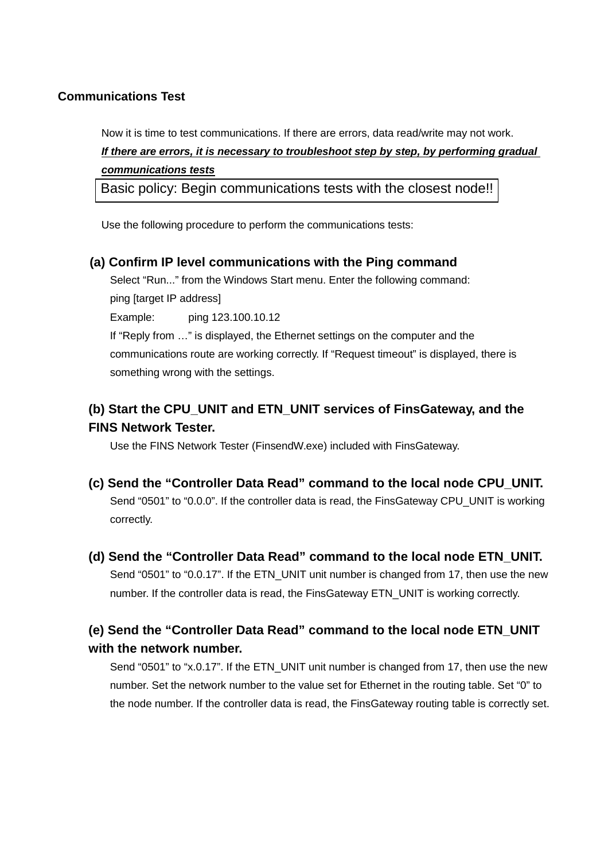### **Communications Test**

Now it is time to test communications. If there are errors, data read/write may not work. *If there are errors, it is necessary to troubleshoot step by step, by performing gradual communications tests*

Basic policy: Begin communications tests with the closest node!!

Use the following procedure to perform the communications tests:

### **(a) Confirm IP level communications with the Ping command**

Select "Run..." from the Windows Start menu. Enter the following command: ping [target IP address]

Example: ping 123.100.10.12

If "Reply from …" is displayed, the Ethernet settings on the computer and the communications route are working correctly. If "Request timeout" is displayed, there is something wrong with the settings.

# **(b) Start the CPU\_UNIT and ETN\_UNIT services of FinsGateway, and the FINS Network Tester.**

Use the FINS Network Tester (FinsendW.exe) included with FinsGateway.

- **(c) Send the "Controller Data Read" command to the local node CPU\_UNIT.**  Send "0501" to "0.0.0". If the controller data is read, the FinsGateway CPU\_UNIT is working correctly.
- **(d) Send the "Controller Data Read" command to the local node ETN\_UNIT.**  Send "0501" to "0.0.17". If the ETN\_UNIT unit number is changed from 17, then use the new number. If the controller data is read, the FinsGateway ETN\_UNIT is working correctly.

# **(e) Send the "Controller Data Read" command to the local node ETN\_UNIT with the network number.**

Send "0501" to "x.0.17". If the ETN\_UNIT unit number is changed from 17, then use the new number. Set the network number to the value set for Ethernet in the routing table. Set "0" to the node number. If the controller data is read, the FinsGateway routing table is correctly set.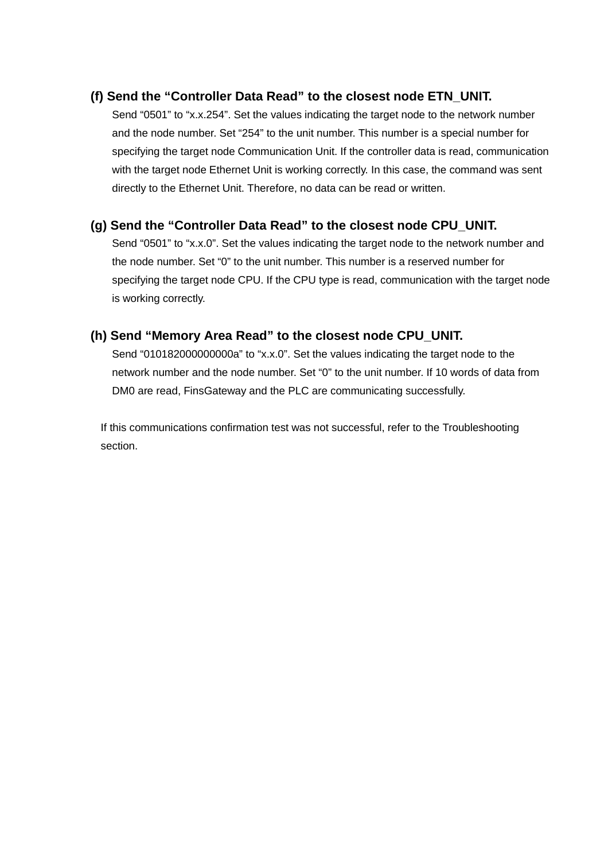### **(f) Send the "Controller Data Read" to the closest node ETN\_UNIT.**

Send "0501" to "x.x.254". Set the values indicating the target node to the network number and the node number. Set "254" to the unit number. This number is a special number for specifying the target node Communication Unit. If the controller data is read, communication with the target node Ethernet Unit is working correctly. In this case, the command was sent directly to the Ethernet Unit. Therefore, no data can be read or written.

### **(g) Send the "Controller Data Read" to the closest node CPU\_UNIT.**

Send "0501" to "x.x.0". Set the values indicating the target node to the network number and the node number. Set "0" to the unit number. This number is a reserved number for specifying the target node CPU. If the CPU type is read, communication with the target node is working correctly.

### **(h) Send "Memory Area Read" to the closest node CPU\_UNIT.**

Send "010182000000000a" to "x.x.0". Set the values indicating the target node to the network number and the node number. Set "0" to the unit number. If 10 words of data from DM0 are read, FinsGateway and the PLC are communicating successfully.

If this communications confirmation test was not successful, refer to the Troubleshooting section.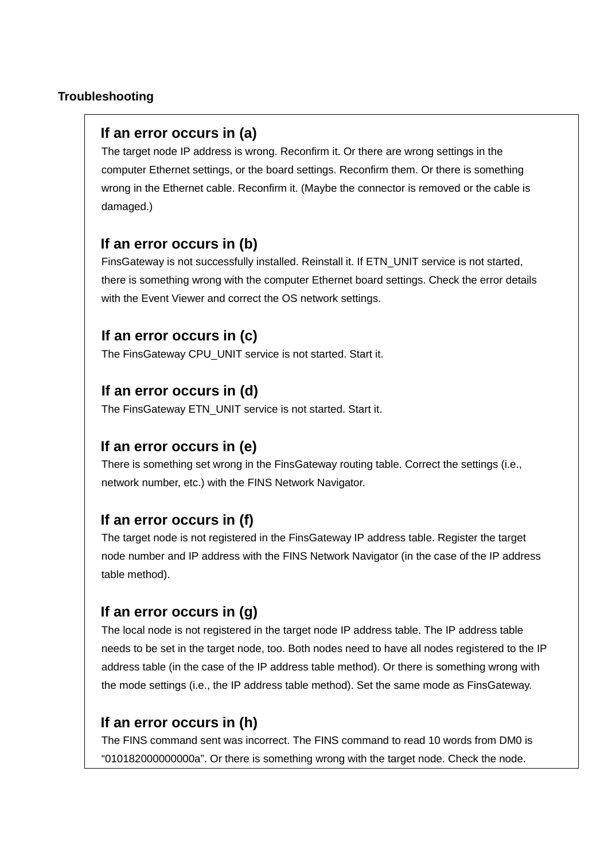### **Troubleshooting**

# **If an error occurs in (a)**

The target node IP address is wrong. Reconfirm it. Or there are wrong settings in the computer Ethernet settings, or the board settings. Reconfirm them. Or there is something wrong in the Ethernet cable. Reconfirm it. (Maybe the connector is removed or the cable is damaged.)

# **If an error occurs in (b)**

FinsGateway is not successfully installed. Reinstall it. If ETN\_UNIT service is not started, there is something wrong with the computer Ethernet board settings. Check the error details with the Event Viewer and correct the OS network settings.

# **If an error occurs in (c)**

The FinsGateway CPU\_UNIT service is not started. Start it.

# **If an error occurs in (d)**

The FinsGateway ETN\_UNIT service is not started. Start it.

## **If an error occurs in (e)**

There is something set wrong in the FinsGateway routing table. Correct the settings (i.e., network number, etc.) with the FINS Network Navigator.

# **If an error occurs in (f)**

The target node is not registered in the FinsGateway IP address table. Register the target node number and IP address with the FINS Network Navigator (in the case of the IP address table method).

# **If an error occurs in (g)**

The local node is not registered in the target node IP address table. The IP address table needs to be set in the target node, too. Both nodes need to have all nodes registered to the IP address table (in the case of the IP address table method). Or there is something wrong with the mode settings (i.e., the IP address table method). Set the same mode as FinsGateway.

# **If an error occurs in (h)**

The FINS command sent was incorrect. The FINS command to read 10 words from DM0 is "010182000000000a". Or there is something wrong with the target node. Check the node.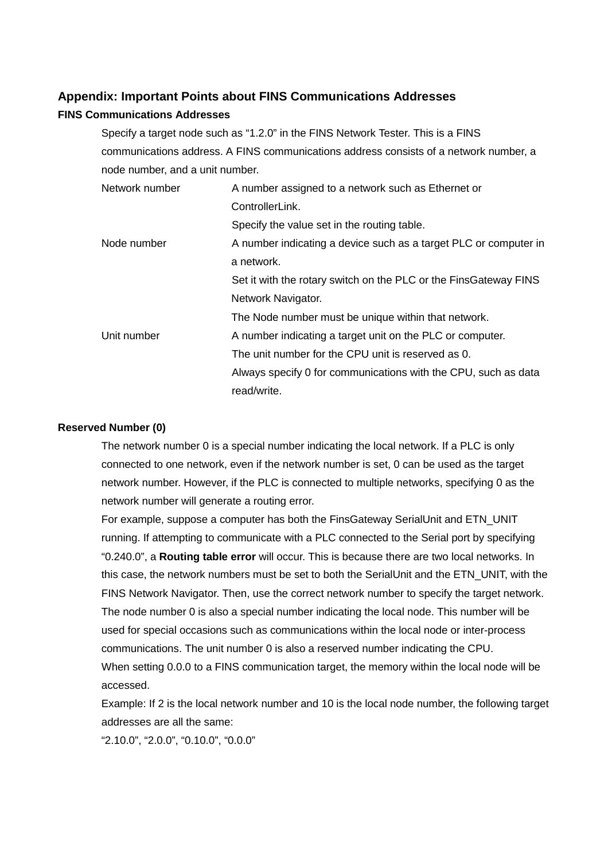### **Appendix: Important Points about FINS Communications Addresses**

#### **FINS Communications Addresses**

Specify a target node such as "1.2.0" in the FINS Network Tester. This is a FINS communications address. A FINS communications address consists of a network number, a node number, and a unit number.

| Network number | A number assigned to a network such as Ethernet or               |  |
|----------------|------------------------------------------------------------------|--|
|                | ControllerLink.                                                  |  |
|                | Specify the value set in the routing table.                      |  |
| Node number    | A number indicating a device such as a target PLC or computer in |  |
|                | a network.                                                       |  |
|                | Set it with the rotary switch on the PLC or the FinsGateway FINS |  |
|                | Network Navigator.                                               |  |
|                | The Node number must be unique within that network.              |  |
| Unit number    | A number indicating a target unit on the PLC or computer.        |  |
|                | The unit number for the CPU unit is reserved as 0.               |  |
|                | Always specify 0 for communications with the CPU, such as data   |  |
|                | read/write.                                                      |  |

#### **Reserved Number (0)**

The network number 0 is a special number indicating the local network. If a PLC is only connected to one network, even if the network number is set, 0 can be used as the target network number. However, if the PLC is connected to multiple networks, specifying 0 as the network number will generate a routing error.

For example, suppose a computer has both the FinsGateway SerialUnit and ETN\_UNIT running. If attempting to communicate with a PLC connected to the Serial port by specifying "0.240.0", a **Routing table error** will occur. This is because there are two local networks. In this case, the network numbers must be set to both the SerialUnit and the ETN\_UNIT, with the FINS Network Navigator. Then, use the correct network number to specify the target network. The node number 0 is also a special number indicating the local node. This number will be used for special occasions such as communications within the local node or inter-process communications. The unit number 0 is also a reserved number indicating the CPU. When setting 0.0.0 to a FINS communication target, the memory within the local node will be accessed.

Example: If 2 is the local network number and 10 is the local node number, the following target addresses are all the same:

"2.10.0", "2.0.0", "0.10.0", "0.0.0"